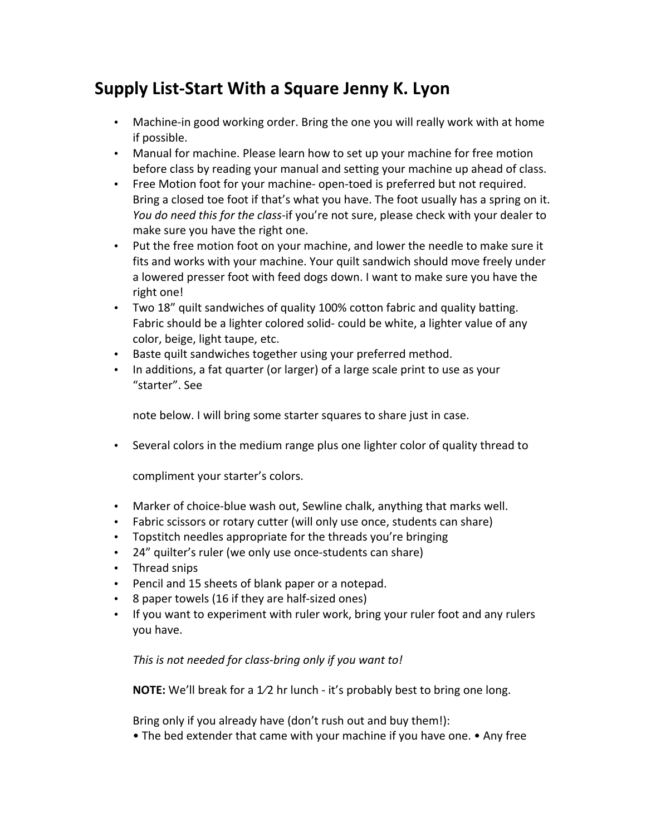## **Supply List-Start With a Square Jenny K. Lyon**

- Machine-in good working order. Bring the one you will really work with at home if possible.
- Manual for machine. Please learn how to set up your machine for free motion before class by reading your manual and setting your machine up ahead of class.
- Free Motion foot for your machine- open-toed is preferred but not required. Bring a closed toe foot if that's what you have. The foot usually has a spring on it. *You do need this for the class*-if you're not sure, please check with your dealer to make sure you have the right one.
- Put the free motion foot on your machine, and lower the needle to make sure it fits and works with your machine. Your quilt sandwich should move freely under a lowered presser foot with feed dogs down. I want to make sure you have the right one!
- Two 18" quilt sandwiches of quality 100% cotton fabric and quality batting. Fabric should be a lighter colored solid- could be white, a lighter value of any color, beige, light taupe, etc.
- Baste quilt sandwiches together using your preferred method.
- In additions, a fat quarter (or larger) of a large scale print to use as your "starter". See

note below. I will bring some starter squares to share just in case.

• Several colors in the medium range plus one lighter color of quality thread to

compliment your starter's colors.

- Marker of choice-blue wash out, Sewline chalk, anything that marks well.
- Fabric scissors or rotary cutter (will only use once, students can share)
- Topstitch needles appropriate for the threads you're bringing
- 24" quilter's ruler (we only use once-students can share)
- Thread snips
- Pencil and 15 sheets of blank paper or a notepad.
- 8 paper towels (16 if they are half-sized ones)
- If you want to experiment with ruler work, bring your ruler foot and any rulers you have.

This is not needed for class-bring only if you want to!

**NOTE:** We'll break for a 1/2 hr lunch - it's probably best to bring one long.

Bring only if you already have  $(don't\text{ rush out}$  and buy them!):

• The bed extender that came with your machine if you have one. • Any free